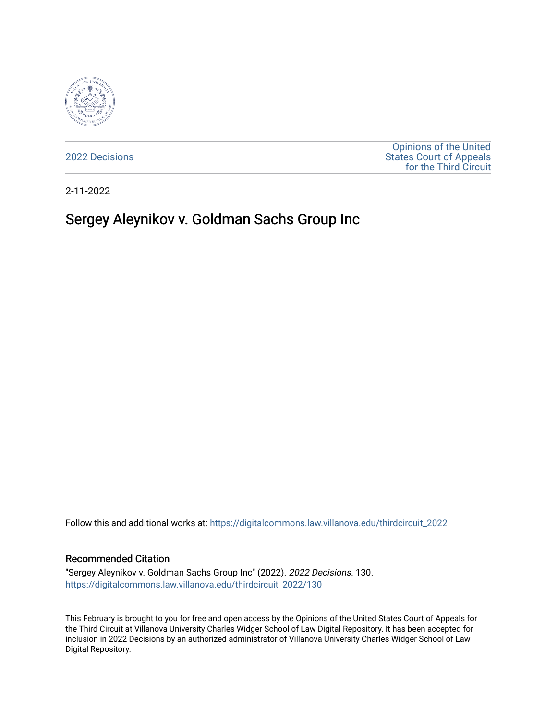

[2022 Decisions](https://digitalcommons.law.villanova.edu/thirdcircuit_2022)

[Opinions of the United](https://digitalcommons.law.villanova.edu/thirdcircuit)  [States Court of Appeals](https://digitalcommons.law.villanova.edu/thirdcircuit)  [for the Third Circuit](https://digitalcommons.law.villanova.edu/thirdcircuit) 

2-11-2022

# Sergey Aleynikov v. Goldman Sachs Group Inc

Follow this and additional works at: [https://digitalcommons.law.villanova.edu/thirdcircuit\\_2022](https://digitalcommons.law.villanova.edu/thirdcircuit_2022?utm_source=digitalcommons.law.villanova.edu%2Fthirdcircuit_2022%2F130&utm_medium=PDF&utm_campaign=PDFCoverPages) 

#### Recommended Citation

"Sergey Aleynikov v. Goldman Sachs Group Inc" (2022). 2022 Decisions. 130. [https://digitalcommons.law.villanova.edu/thirdcircuit\\_2022/130](https://digitalcommons.law.villanova.edu/thirdcircuit_2022/130?utm_source=digitalcommons.law.villanova.edu%2Fthirdcircuit_2022%2F130&utm_medium=PDF&utm_campaign=PDFCoverPages)

This February is brought to you for free and open access by the Opinions of the United States Court of Appeals for the Third Circuit at Villanova University Charles Widger School of Law Digital Repository. It has been accepted for inclusion in 2022 Decisions by an authorized administrator of Villanova University Charles Widger School of Law Digital Repository.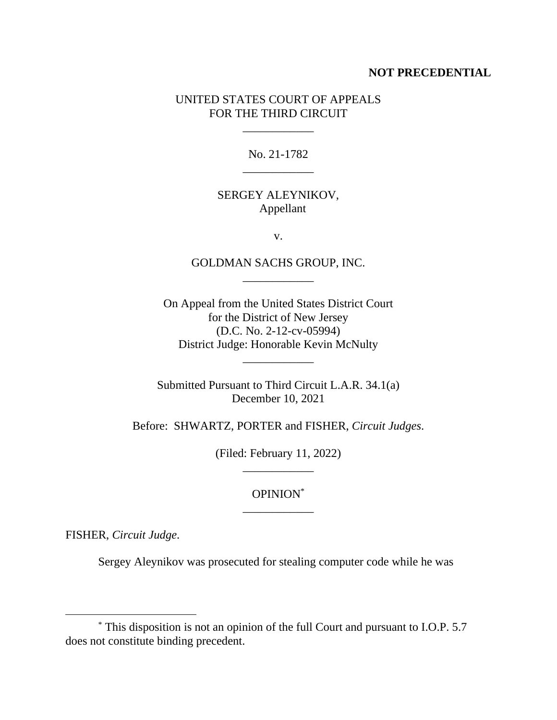#### **NOT PRECEDENTIAL**

### UNITED STATES COURT OF APPEALS FOR THE THIRD CIRCUIT

\_\_\_\_\_\_\_\_\_\_\_\_

No. 21-1782 \_\_\_\_\_\_\_\_\_\_\_\_

### SERGEY ALEYNIKOV, Appellant

v.

## GOLDMAN SACHS GROUP, INC. \_\_\_\_\_\_\_\_\_\_\_\_

On Appeal from the United States District Court for the District of New Jersey (D.C. No. 2-12-cv-05994) District Judge: Honorable Kevin McNulty

Submitted Pursuant to Third Circuit L.A.R. 34.1(a) December 10, 2021

\_\_\_\_\_\_\_\_\_\_\_\_

Before: SHWARTZ, PORTER and FISHER, *Circuit Judges*.

(Filed: February 11, 2022) \_\_\_\_\_\_\_\_\_\_\_\_

# OPINION\* \_\_\_\_\_\_\_\_\_\_\_\_

FISHER, *Circuit Judge*.

Sergey Aleynikov was prosecuted for stealing computer code while he was

<sup>\*</sup> This disposition is not an opinion of the full Court and pursuant to I.O.P. 5.7 does not constitute binding precedent.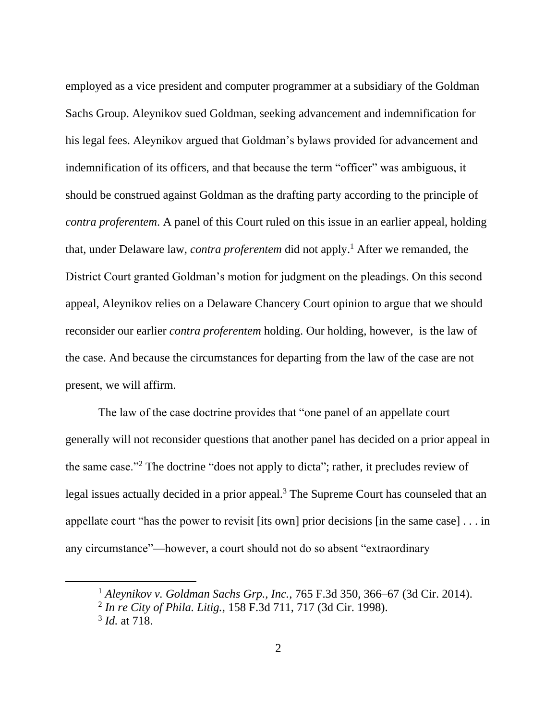employed as a vice president and computer programmer at a subsidiary of the Goldman Sachs Group. Aleynikov sued Goldman, seeking advancement and indemnification for his legal fees. Aleynikov argued that Goldman's bylaws provided for advancement and indemnification of its officers, and that because the term "officer" was ambiguous, it should be construed against Goldman as the drafting party according to the principle of *contra proferentem*. A panel of this Court ruled on this issue in an earlier appeal, holding that, under Delaware law, *contra proferentem* did not apply. <sup>1</sup> After we remanded, the District Court granted Goldman's motion for judgment on the pleadings. On this second appeal, Aleynikov relies on a Delaware Chancery Court opinion to argue that we should reconsider our earlier *contra proferentem* holding. Our holding, however, is the law of the case. And because the circumstances for departing from the law of the case are not present, we will affirm.

The law of the case doctrine provides that "one panel of an appellate court generally will not reconsider questions that another panel has decided on a prior appeal in the same case."<sup>2</sup> The doctrine "does not apply to dicta"; rather, it precludes review of legal issues actually decided in a prior appeal.<sup>3</sup> The Supreme Court has counseled that an appellate court "has the power to revisit [its own] prior decisions [in the same case] . . . in any circumstance"—however, a court should not do so absent "extraordinary

<sup>1</sup> *Aleynikov v. Goldman Sachs Grp., Inc.*, 765 F.3d 350, 366–67 (3d Cir. 2014).

<sup>2</sup> *In re City of Phila. Litig.*, 158 F.3d 711, 717 (3d Cir. 1998).

<sup>3</sup> *Id.* at 718.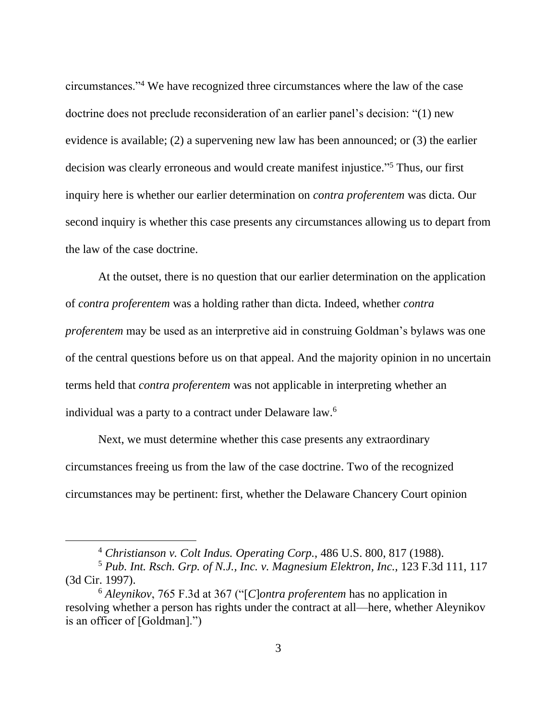circumstances."<sup>4</sup> We have recognized three circumstances where the law of the case doctrine does not preclude reconsideration of an earlier panel's decision: "(1) new evidence is available; (2) a supervening new law has been announced; or (3) the earlier decision was clearly erroneous and would create manifest injustice." <sup>5</sup> Thus, our first inquiry here is whether our earlier determination on *contra proferentem* was dicta. Our second inquiry is whether this case presents any circumstances allowing us to depart from the law of the case doctrine.

At the outset, there is no question that our earlier determination on the application of *contra proferentem* was a holding rather than dicta. Indeed, whether *contra proferentem* may be used as an interpretive aid in construing Goldman's bylaws was one of the central questions before us on that appeal. And the majority opinion in no uncertain terms held that *contra proferentem* was not applicable in interpreting whether an individual was a party to a contract under Delaware law.<sup>6</sup>

Next, we must determine whether this case presents any extraordinary circumstances freeing us from the law of the case doctrine. Two of the recognized circumstances may be pertinent: first, whether the Delaware Chancery Court opinion

<sup>4</sup> *Christianson v. Colt Indus. Operating Corp.*, 486 U.S. 800, 817 (1988).

<sup>5</sup> *Pub. Int. Rsch. Grp. of N.J., Inc. v. Magnesium Elektron, Inc.*, 123 F.3d 111, 117 (3d Cir. 1997).

<sup>6</sup> *Aleynikov*, 765 F.3d at 367 ("[*C*]*ontra proferentem* has no application in resolving whether a person has rights under the contract at all—here, whether Aleynikov is an officer of [Goldman].")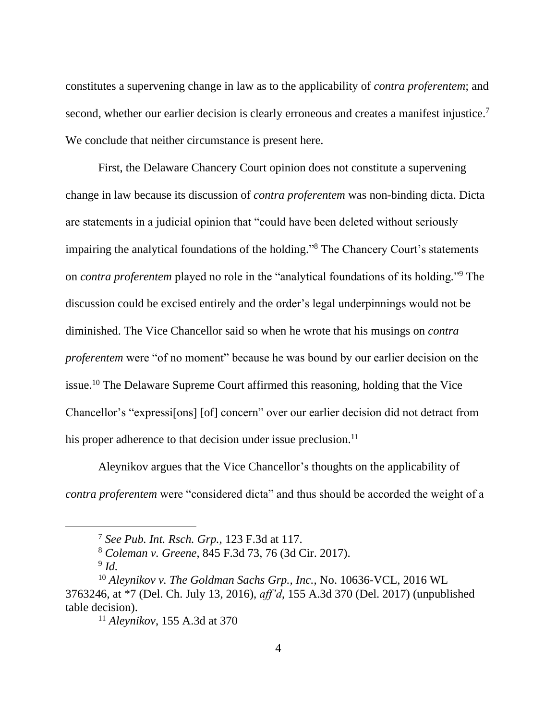constitutes a supervening change in law as to the applicability of *contra proferentem*; and second, whether our earlier decision is clearly erroneous and creates a manifest injustice.<sup>7</sup> We conclude that neither circumstance is present here.

First, the Delaware Chancery Court opinion does not constitute a supervening change in law because its discussion of *contra proferentem* was non-binding dicta. Dicta are statements in a judicial opinion that "could have been deleted without seriously impairing the analytical foundations of the holding." <sup>8</sup> The Chancery Court's statements on *contra proferentem* played no role in the "analytical foundations of its holding*.*" <sup>9</sup> The discussion could be excised entirely and the order's legal underpinnings would not be diminished. The Vice Chancellor said so when he wrote that his musings on *contra proferentem* were "of no moment" because he was bound by our earlier decision on the issue.<sup>10</sup> The Delaware Supreme Court affirmed this reasoning, holding that the Vice Chancellor's "expressi[ons] [of] concern" over our earlier decision did not detract from his proper adherence to that decision under issue preclusion. $<sup>11</sup>$ </sup>

Aleynikov argues that the Vice Chancellor's thoughts on the applicability of *contra proferentem* were "considered dicta" and thus should be accorded the weight of a

<sup>7</sup> *See Pub. Int. Rsch. Grp.*, 123 F.3d at 117.

<sup>8</sup> *Coleman v. Greene*, 845 F.3d 73, 76 (3d Cir. 2017).

<sup>9</sup> *Id.*

<sup>10</sup> *Aleynikov v. The Goldman Sachs Grp., Inc.*, No. 10636-VCL, 2016 WL 3763246, at \*7 (Del. Ch. July 13, 2016), *aff'd*, 155 A.3d 370 (Del. 2017) (unpublished table decision).

<sup>11</sup> *Aleynikov*, 155 A.3d at 370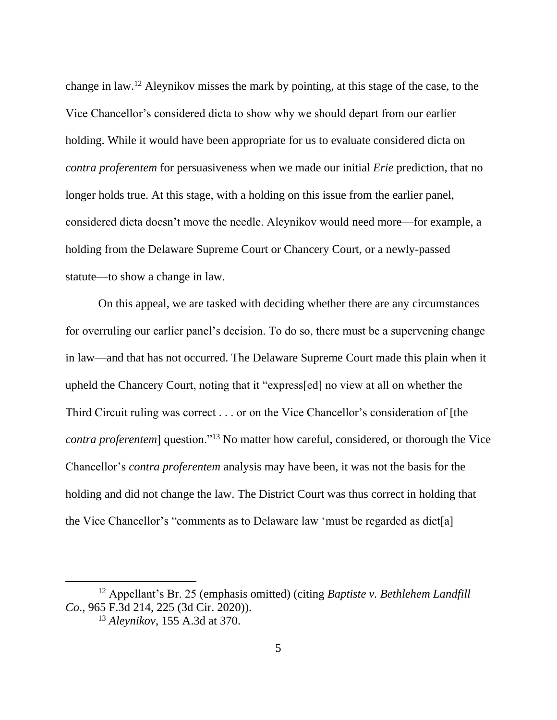change in law.<sup>12</sup> Aleynikov misses the mark by pointing, at this stage of the case, to the Vice Chancellor's considered dicta to show why we should depart from our earlier holding. While it would have been appropriate for us to evaluate considered dicta on *contra proferentem* for persuasiveness when we made our initial *Erie* prediction, that no longer holds true. At this stage, with a holding on this issue from the earlier panel, considered dicta doesn't move the needle. Aleynikov would need more—for example, a holding from the Delaware Supreme Court or Chancery Court, or a newly-passed statute—to show a change in law.

On this appeal, we are tasked with deciding whether there are any circumstances for overruling our earlier panel's decision. To do so, there must be a supervening change in law—and that has not occurred. The Delaware Supreme Court made this plain when it upheld the Chancery Court, noting that it "express[ed] no view at all on whether the Third Circuit ruling was correct . . . or on the Vice Chancellor's consideration of [the *contra proferentem*] question."<sup>13</sup> No matter how careful, considered, or thorough the Vice Chancellor's *contra proferentem* analysis may have been, it was not the basis for the holding and did not change the law. The District Court was thus correct in holding that the Vice Chancellor's "comments as to Delaware law 'must be regarded as dict[a]

<sup>12</sup> Appellant's Br. 25 (emphasis omitted) (citing *Baptiste v. Bethlehem Landfill Co*., 965 F.3d 214, 225 (3d Cir. 2020)). <sup>13</sup> *Aleynikov*, 155 A.3d at 370.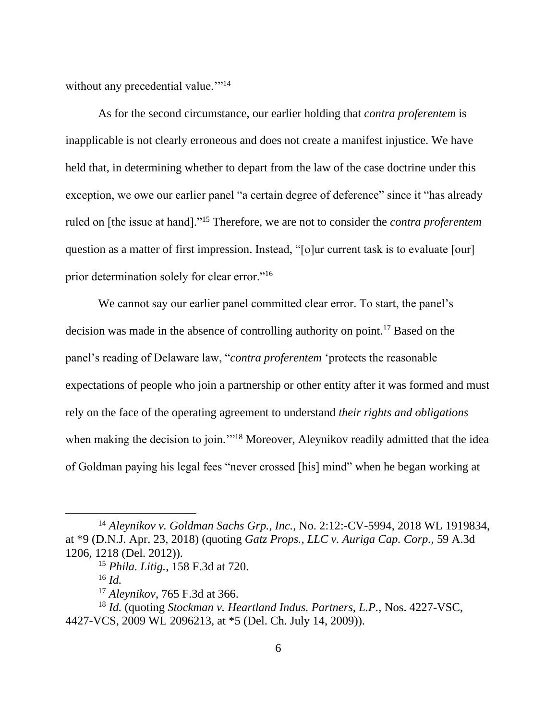without any precedential value."<sup>14</sup>

As for the second circumstance, our earlier holding that *contra proferentem* is inapplicable is not clearly erroneous and does not create a manifest injustice. We have held that, in determining whether to depart from the law of the case doctrine under this exception, we owe our earlier panel "a certain degree of deference" since it "has already ruled on [the issue at hand]."<sup>15</sup> Therefore, we are not to consider the *contra proferentem*  question as a matter of first impression. Instead, "[o]ur current task is to evaluate [our] prior determination solely for clear error."<sup>16</sup>

We cannot say our earlier panel committed clear error. To start, the panel's decision was made in the absence of controlling authority on point.<sup>17</sup> Based on the panel's reading of Delaware law, "*contra proferentem* 'protects the reasonable expectations of people who join a partnership or other entity after it was formed and must rely on the face of the operating agreement to understand *their rights and obligations* when making the decision to join."<sup>18</sup> Moreover, Aleynikov readily admitted that the idea of Goldman paying his legal fees "never crossed [his] mind" when he began working at

<sup>14</sup> *Aleynikov v. Goldman Sachs Grp., Inc.*, No. 2:12:-CV-5994, 2018 WL 1919834, at \*9 (D.N.J. Apr. 23, 2018) (quoting *Gatz Props., LLC v. Auriga Cap. Corp.*, 59 A.3d 1206, 1218 (Del. 2012)).

<sup>15</sup> *Phila. Litig.*, 158 F.3d at 720.

<sup>16</sup> *Id.*

<sup>17</sup> *Aleynikov*, 765 F.3d at 366.

<sup>18</sup> *Id.* (quoting *Stockman v. Heartland Indus. Partners, L.P.*, Nos. 4227-VSC, 4427-VCS, 2009 WL 2096213, at \*5 (Del. Ch. July 14, 2009)).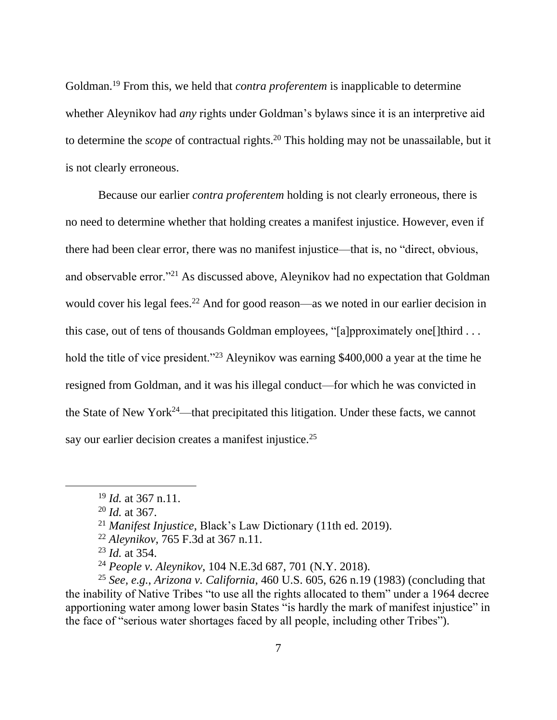Goldman.<sup>19</sup> From this, we held that *contra proferentem* is inapplicable to determine whether Aleynikov had *any* rights under Goldman's bylaws since it is an interpretive aid to determine the *scope* of contractual rights.<sup>20</sup> This holding may not be unassailable, but it is not clearly erroneous.

Because our earlier *contra proferentem* holding is not clearly erroneous, there is no need to determine whether that holding creates a manifest injustice. However, even if there had been clear error, there was no manifest injustice—that is, no "direct, obvious, and observable error."<sup>21</sup> As discussed above, Aleynikov had no expectation that Goldman would cover his legal fees.<sup>22</sup> And for good reason—as we noted in our earlier decision in this case, out of tens of thousands Goldman employees, "[a]pproximately one[]third . . . hold the title of vice president."<sup>23</sup> Aleynikov was earning \$400,000 a year at the time he resigned from Goldman, and it was his illegal conduct—for which he was convicted in the State of New York<sup>24</sup>—that precipitated this litigation. Under these facts, we cannot say our earlier decision creates a manifest injustice.<sup>25</sup>

<sup>19</sup> *Id.* at 367 n.11.

<sup>20</sup> *Id.* at 367.

<sup>21</sup> *Manifest Injustice*, Black's Law Dictionary (11th ed. 2019).

<sup>22</sup> *Aleynikov*, 765 F.3d at 367 n.11.

<sup>23</sup> *Id.* at 354.

<sup>24</sup> *People v. Aleynikov*, 104 N.E.3d 687, 701 (N.Y. 2018).

<sup>25</sup> *See, e.g.*, *Arizona v. California*, 460 U.S. 605, 626 n.19 (1983) (concluding that the inability of Native Tribes "to use all the rights allocated to them" under a 1964 decree apportioning water among lower basin States "is hardly the mark of manifest injustice" in the face of "serious water shortages faced by all people, including other Tribes").